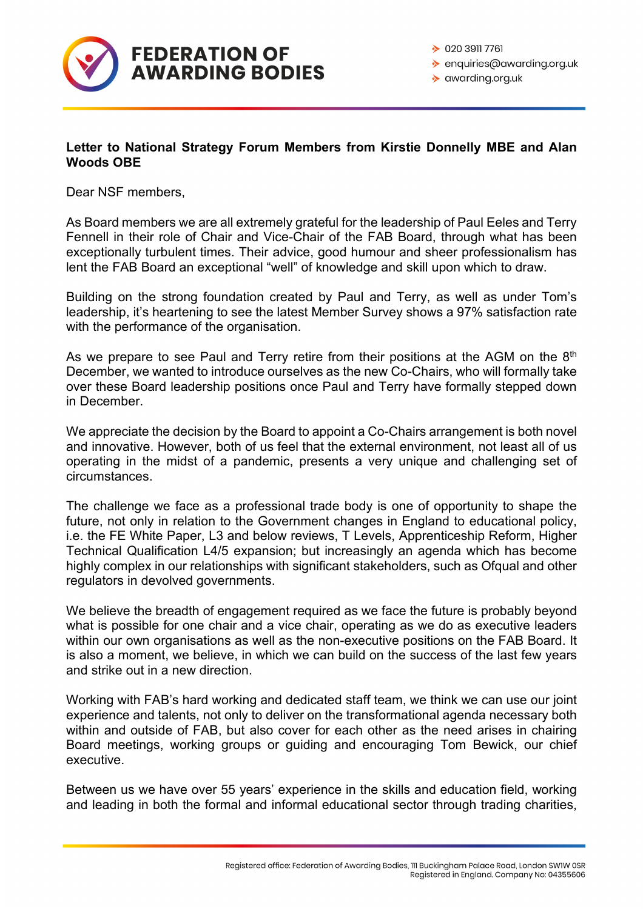

◆ enquiries@awarding.org.uk

 $\rightarrow$  awarding.org.uk

## **Letter to National Strategy Forum Members from Kirstie Donnelly MBE and Alan Woods OBE**

Dear NSF members,

As Board members we are all extremely grateful for the leadership of Paul Eeles and Terry Fennell in their role of Chair and Vice-Chair of the FAB Board, through what has been exceptionally turbulent times. Their advice, good humour and sheer professionalism has lent the FAB Board an exceptional "well" of knowledge and skill upon which to draw.

Building on the strong foundation created by Paul and Terry, as well as under Tom's leadership, it's heartening to see the latest Member Survey shows a 97% satisfaction rate with the performance of the organisation.

As we prepare to see Paul and Terry retire from their positions at the AGM on the  $8<sup>th</sup>$ December, we wanted to introduce ourselves as the new Co-Chairs, who will formally take over these Board leadership positions once Paul and Terry have formally stepped down in December.

We appreciate the decision by the Board to appoint a Co-Chairs arrangement is both novel and innovative. However, both of us feel that the external environment, not least all of us operating in the midst of a pandemic, presents a very unique and challenging set of circumstances.

The challenge we face as a professional trade body is one of opportunity to shape the future, not only in relation to the Government changes in England to educational policy, i.e. the FE White Paper, L3 and below reviews, T Levels, Apprenticeship Reform, Higher Technical Qualification L4/5 expansion; but increasingly an agenda which has become highly complex in our relationships with significant stakeholders, such as Ofqual and other regulators in devolved governments.

We believe the breadth of engagement required as we face the future is probably beyond what is possible for one chair and a vice chair, operating as we do as executive leaders within our own organisations as well as the non-executive positions on the FAB Board. It is also a moment, we believe, in which we can build on the success of the last few years and strike out in a new direction.

Working with FAB's hard working and dedicated staff team, we think we can use our joint experience and talents, not only to deliver on the transformational agenda necessary both within and outside of FAB, but also cover for each other as the need arises in chairing Board meetings, working groups or guiding and encouraging Tom Bewick, our chief executive.

Between us we have over 55 years' experience in the skills and education field, working and leading in both the formal and informal educational sector through trading charities,